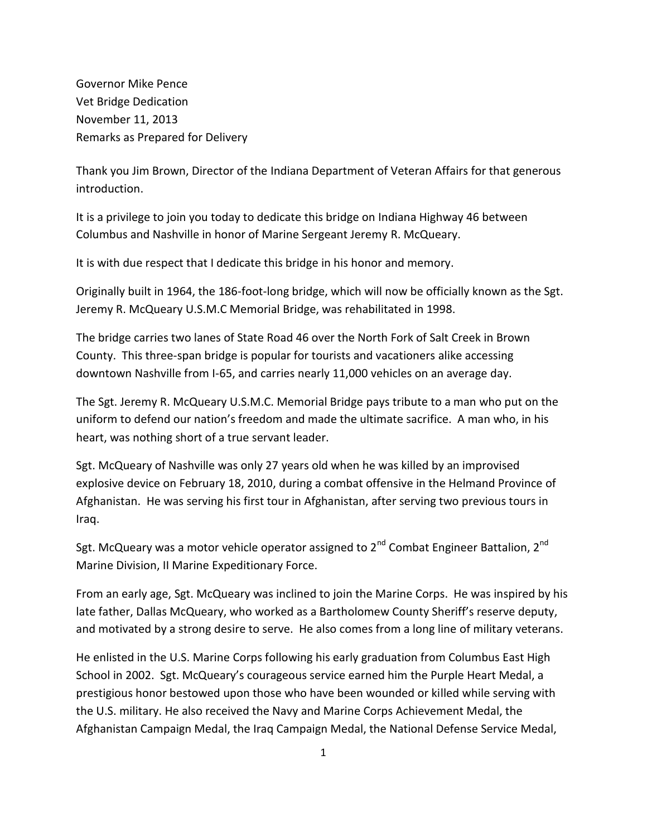Governor Mike Pence Vet Bridge Dedication November 11, 2013 Remarks as Prepared for Delivery

Thank you Jim Brown, Director of the Indiana Department of Veteran Affairs for that generous introduction.

It is a privilege to join you today to dedicate this bridge on Indiana Highway 46 between Columbus and Nashville in honor of Marine Sergeant Jeremy R. McQueary.

It is with due respect that I dedicate this bridge in his honor and memory.

Originally built in 1964, the 186-foot-long bridge, which will now be officially known as the Sgt. Jeremy R. McQueary U.S.M.C Memorial Bridge, was rehabilitated in 1998.

The bridge carries two lanes of State Road 46 over the North Fork of Salt Creek in Brown County. This three-span bridge is popular for tourists and vacationers alike accessing downtown Nashville from I-65, and carries nearly 11,000 vehicles on an average day.

The Sgt. Jeremy R. McQueary U.S.M.C. Memorial Bridge pays tribute to a man who put on the uniform to defend our nation's freedom and made the ultimate sacrifice. A man who, in his heart, was nothing short of a true servant leader.

Sgt. McQueary of Nashville was only 27 years old when he was killed by an improvised explosive device on February 18, 2010, during a combat offensive in the Helmand Province of Afghanistan. He was serving his first tour in Afghanistan, after serving two previous tours in Iraq.

Sgt. McQueary was a motor vehicle operator assigned to 2<sup>nd</sup> Combat Engineer Battalion, 2<sup>nd</sup> Marine Division, II Marine Expeditionary Force.

From an early age, Sgt. McQueary was inclined to join the Marine Corps. He was inspired by his late father, Dallas McQueary, who worked as a Bartholomew County Sheriff's reserve deputy, and motivated by a strong desire to serve. He also comes from a long line of military veterans.

He enlisted in the U.S. Marine Corps following his early graduation from Columbus East High School in 2002. Sgt. McQueary's courageous service earned him the Purple Heart Medal, a prestigious honor bestowed upon those who have been wounded or killed while serving with the U.S. military. He also received the Navy and Marine Corps Achievement Medal, the Afghanistan Campaign Medal, the Iraq Campaign Medal, the National Defense Service Medal,